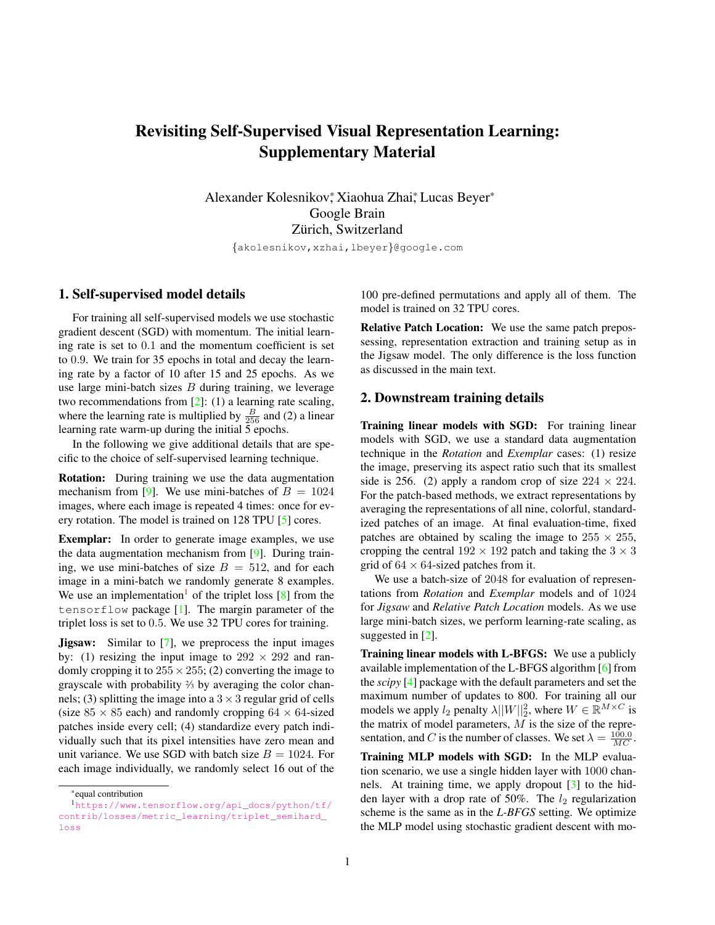# <span id="page-0-1"></span>Revisiting Self-Supervised Visual Representation Learning: Supplementary Material

Alexander Kolesnikov,\* Xiaohua Zhai,\* Lucas Beyer Google Brain Zürich, Switzerland

{akolesnikov,xzhai,lbeyer}@google.com

#### 1. Self-supervised model details

For training all self-supervised models we use stochastic gradient descent (SGD) with momentum. The initial learning rate is set to 0.1 and the momentum coefficient is set to 0.9. We train for 35 epochs in total and decay the learning rate by a factor of 10 after 15 and 25 epochs. As we use large mini-batch sizes  $B$  during training, we leverage two recommendations from [\[2\]](#page-3-0): (1) a learning rate scaling, where the learning rate is multiplied by  $\frac{B}{256}$  and (2) a linear learning rate warm-up during the initial 5 epochs.

In the following we give additional details that are specific to the choice of self-supervised learning technique.

Rotation: During training we use the data augmentation mechanism from [\[9\]](#page-3-1). We use mini-batches of  $B = 1024$ images, where each image is repeated 4 times: once for every rotation. The model is trained on 128 TPU [\[5\]](#page-3-2) cores.

Exemplar: In order to generate image examples, we use the data augmentation mechanism from [\[9\]](#page-3-1). During training, we use mini-batches of size  $B = 512$ , and for each image in a mini-batch we randomly generate 8 examples. We use an implementation<sup>[1](#page-0-0)</sup> of the triplet loss  $[8]$  from the tensorflow package [\[1\]](#page-3-4). The margin parameter of the triplet loss is set to 0.5. We use 32 TPU cores for training.

**Jigsaw:** Similar to [\[7\]](#page-3-5), we preprocess the input images by: (1) resizing the input image to  $292 \times 292$  and randomly cropping it to  $255 \times 255$ ; (2) converting the image to grayscale with probability <sup>2</sup> ⁄<sup>3</sup> by averaging the color channels; (3) splitting the image into a  $3 \times 3$  regular grid of cells (size  $85 \times 85$  each) and randomly cropping  $64 \times 64$ -sized patches inside every cell; (4) standardize every patch individually such that its pixel intensities have zero mean and unit variance. We use SGD with batch size  $B = 1024$ . For each image individually, we randomly select 16 out of the

100 pre-defined permutations and apply all of them. The model is trained on 32 TPU cores.

Relative Patch Location: We use the same patch prepossessing, representation extraction and training setup as in the Jigsaw model. The only difference is the loss function as discussed in the main text.

#### 2. Downstream training details

Training linear models with SGD: For training linear models with SGD, we use a standard data augmentation technique in the *Rotation* and *Exemplar* cases: (1) resize the image, preserving its aspect ratio such that its smallest side is 256. (2) apply a random crop of size  $224 \times 224$ . For the patch-based methods, we extract representations by averaging the representations of all nine, colorful, standardized patches of an image. At final evaluation-time, fixed patches are obtained by scaling the image to  $255 \times 255$ , cropping the central  $192 \times 192$  patch and taking the  $3 \times 3$ grid of  $64 \times 64$ -sized patches from it.

We use a batch-size of 2048 for evaluation of representations from *Rotation* and *Exemplar* models and of 1024 for *Jigsaw* and *Relative Patch Location* models. As we use large mini-batch sizes, we perform learning-rate scaling, as suggested in [\[2\]](#page-3-0).

Training linear models with L-BFGS: We use a publicly available implementation of the L-BFGS algorithm [\[6\]](#page-3-6) from the *scipy* [\[4\]](#page-3-7) package with the default parameters and set the maximum number of updates to 800. For training all our models we apply  $l_2$  penalty  $\lambda ||W||_2^2$ , where  $W \in \mathbb{R}^{M \times C}$  is the matrix of model parameters,  $M$  is the size of the representation, and C is the number of classes. We set  $\lambda = \frac{100.0}{MC}$ .

Training MLP models with SGD: In the MLP evaluation scenario, we use a single hidden layer with 1000 channels. At training time, we apply dropout [\[3\]](#page-3-8) to the hidden layer with a drop rate of 50%. The  $l_2$  regularization scheme is the same as in the *L-BFGS* setting. We optimize the MLP model using stochastic gradient descent with mo-

<span id="page-0-0"></span><sup>\*</sup>equal contribution

<sup>1</sup>[https://www.tensorflow.org/api\\_docs/python/tf/](https://www.tensorflow.org/api_docs/python/tf/contrib/losses/metric_learning/triplet_semihard_loss) [contrib/losses/metric\\_learning/triplet\\_semihard\\_](https://www.tensorflow.org/api_docs/python/tf/contrib/losses/metric_learning/triplet_semihard_loss) [loss](https://www.tensorflow.org/api_docs/python/tf/contrib/losses/metric_learning/triplet_semihard_loss)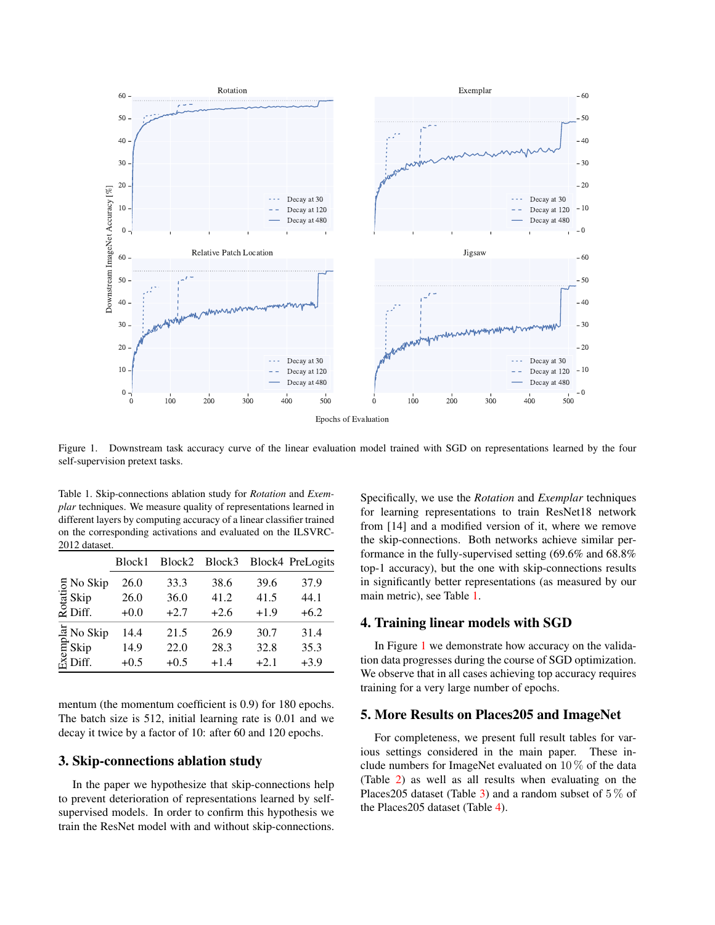

<span id="page-1-1"></span>Figure 1. Downstream task accuracy curve of the linear evaluation model trained with SGD on representations learned by the four self-supervision pretext tasks.

<span id="page-1-0"></span>Table 1. Skip-connections ablation study for *Rotation* and *Exemplar* techniques. We measure quality of representations learned in different layers by computing accuracy of a linear classifier trained on the corresponding activations and evaluated on the ILSVRC-2012 dataset.

|                             | Block1 | Block2 | Block3 |        | Block4 PreLogits |
|-----------------------------|--------|--------|--------|--------|------------------|
| 5 No Skip                   | 26.0   | 33.3   | 38.6   | 39.6   | 37.9             |
| 'ਚੋਂ Skip                   | 26.0   | 36.0   | 41.2   | 41.5   | 44.1             |
| $\overline{2}$ Diff.        | $+0.0$ | $+2.7$ | $+2.6$ | $+1.9$ | $+6.2$           |
| $\frac{1}{2}$ No Skip       | 14.4   | 21.5   | 26.9   | 30.7   | 31.4             |
| E Skip<br>E Skip<br>E Diff. | 14.9   | 22.0   | 28.3   | 32.8   | 35.3             |
|                             | $+0.5$ | $+0.5$ | $+1.4$ | $+2.1$ | $+3.9$           |

mentum (the momentum coefficient is 0.9) for 180 epochs. The batch size is 512, initial learning rate is 0.01 and we decay it twice by a factor of 10: after 60 and 120 epochs.

### 3. Skip-connections ablation study

In the paper we hypothesize that skip-connections help to prevent deterioration of representations learned by selfsupervised models. In order to confirm this hypothesis we train the ResNet model with and without skip-connections.

Specifically, we use the *Rotation* and *Exemplar* techniques for learning representations to train ResNet18 network from [14] and a modified version of it, where we remove the skip-connections. Both networks achieve similar performance in the fully-supervised setting (69.6% and 68.8% top-1 accuracy), but the one with skip-connections results in significantly better representations (as measured by our main metric), see Table [1.](#page-1-0)

## 4. Training linear models with SGD

In Figure [1](#page-1-1) we demonstrate how accuracy on the validation data progresses during the course of SGD optimization. We observe that in all cases achieving top accuracy requires training for a very large number of epochs.

#### 5. More Results on Places205 and ImageNet

For completeness, we present full result tables for various settings considered in the main paper. These include numbers for ImageNet evaluated on  $10\%$  of the data (Table [2\)](#page-2-0) as well as all results when evaluating on the Places 205 dataset (Table [3\)](#page-2-1) and a random subset of  $5\%$  of the Places205 dataset (Table [4\)](#page-2-2).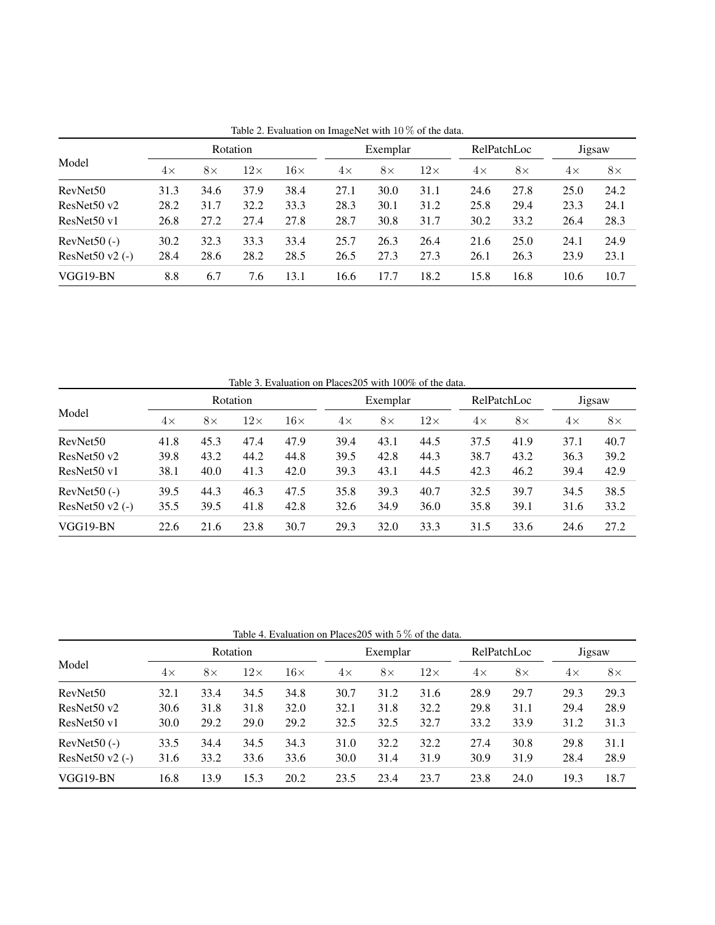|                            | Rotation  |           |            |            |           | Exemplar  |            |           | RelPatchLoc |           | Jigsaw    |  |
|----------------------------|-----------|-----------|------------|------------|-----------|-----------|------------|-----------|-------------|-----------|-----------|--|
| Model                      | $4\times$ | $8\times$ | $12\times$ | $16\times$ | $4\times$ | $8\times$ | $12\times$ | $4\times$ | $8\times$   | $4\times$ | $8\times$ |  |
| RevNet <sub>50</sub>       | 31.3      | 34.6      | 37.9       | 38.4       | 27.1      | 30.0      | 31.1       | 24.6      | 27.8        | 25.0      | 24.2      |  |
| ResNet50 v2                | 28.2      | 31.7      | 32.2       | 33.3       | 28.3      | 30.1      | 31.2       | 25.8      | 29.4        | 23.3      | 24.1      |  |
| ResNet50 v1                | 26.8      | 27.2      | 27.4       | 27.8       | 28.7      | 30.8      | 31.7       | 30.2      | 33.2        | 26.4      | 28.3      |  |
| $RevNet50(-)$              | 30.2      | 32.3      | 33.3       | 33.4       | 25.7      | 26.3      | 26.4       | 21.6      | 25.0        | 24.1      | 24.9      |  |
| ResNet $50 \text{ v2}$ (-) | 28.4      | 28.6      | 28.2       | 28.5       | 26.5      | 27.3      | 27.3       | 26.1      | 26.3        | 23.9      | 23.1      |  |
| VGG19-BN                   | 8.8       | 6.7       | 7.6        | 13.1       | 16.6      | 17.7      | 18.2       | 15.8      | 16.8        | 10.6      | 10.7      |  |

<span id="page-2-0"></span>Table 2. Evaluation on ImageNet with 10 % of the data.

| Table 3. Evaluation on Places205 with T00% of the data. |           |           |            |            |           |           |            |           |             |           |           |  |
|---------------------------------------------------------|-----------|-----------|------------|------------|-----------|-----------|------------|-----------|-------------|-----------|-----------|--|
| Model                                                   | Rotation  |           |            |            |           | Exemplar  |            |           | RelPatchLoc |           | Jigsaw    |  |
|                                                         | $4\times$ | $8\times$ | $12\times$ | $16\times$ | $4\times$ | $8\times$ | $12\times$ | $4\times$ | $8\times$   | $4\times$ | $8\times$ |  |
| RevNet <sub>50</sub>                                    | 41.8      | 45.3      | 47.4       | 47.9       | 39.4      | 43.1      | 44.5       | 37.5      | 41.9        | 37.1      | 40.7      |  |
| ResNet50 v2                                             | 39.8      | 43.2      | 44.2       | 44.8       | 39.5      | 42.8      | 44.3       | 38.7      | 43.2        | 36.3      | 39.2      |  |
| ResNet50 v1                                             | 38.1      | 40.0      | 41.3       | 42.0       | 39.3      | 43.1      | 44.5       | 42.3      | 46.2        | 39.4      | 42.9      |  |
| $RevNet50(-)$                                           | 39.5      | 44.3      | 46.3       | 47.5       | 35.8      | 39.3      | 40.7       | 32.5      | 39.7        | 34.5      | 38.5      |  |
| ResNet $50 \text{ v2}$ (-)                              | 35.5      | 39.5      | 41.8       | 42.8       | 32.6      | 34.9      | 36.0       | 35.8      | 39.1        | 31.6      | 33.2      |  |
| VGG19-BN                                                | 22.6      | 21.6      | 23.8       | 30.7       | 29.3      | 32.0      | 33.3       | 31.5      | 33.6        | 24.6      | 27.2      |  |

<span id="page-2-1"></span>Table 3. Evaluation on Places205 with 100% of the data.

<span id="page-2-2"></span>Table 4. Evaluation on Places205 with 5 % of the data.

| Model                | Rotation  |           |            |            |      | Exemplar  |            |           | RelPatchLoc |           | Jigsaw    |  |
|----------------------|-----------|-----------|------------|------------|------|-----------|------------|-----------|-------------|-----------|-----------|--|
|                      | $4\times$ | $8\times$ | $12\times$ | $16\times$ | 4×   | $8\times$ | $12\times$ | $4\times$ | $8\times$   | $4\times$ | $8\times$ |  |
| RevNet <sub>50</sub> | 32.1      | 33.4      | 34.5       | 34.8       | 30.7 | 31.2      | 31.6       | 28.9      | 29.7        | 29.3      | 29.3      |  |
| ResNet50 v2          | 30.6      | 31.8      | 31.8       | 32.0       | 32.1 | 31.8      | 32.2       | 29.8      | 31.1        | 29.4      | 28.9      |  |
| ResNet50 v1          | 30.0      | 29.2      | 29.0       | 29.2       | 32.5 | 32.5      | 32.7       | 33.2      | 33.9        | 31.2      | 31.3      |  |
| $RevNet50$ (-)       | 33.5      | 34.4      | 34.5       | 34.3       | 31.0 | 32.2      | 32.2       | 27.4      | 30.8        | 29.8      | 31.1      |  |
| ResNet50 $v2$ (-)    | 31.6      | 33.2      | 33.6       | 33.6       | 30.0 | 31.4      | 31.9       | 30.9      | 31.9        | 28.4      | 28.9      |  |
| VGG19-BN             | 16.8      | 13.9      | 15.3       | 20.2       | 23.5 | 23.4      | 23.7       | 23.8      | 24.0        | 19.3      | 18.7      |  |